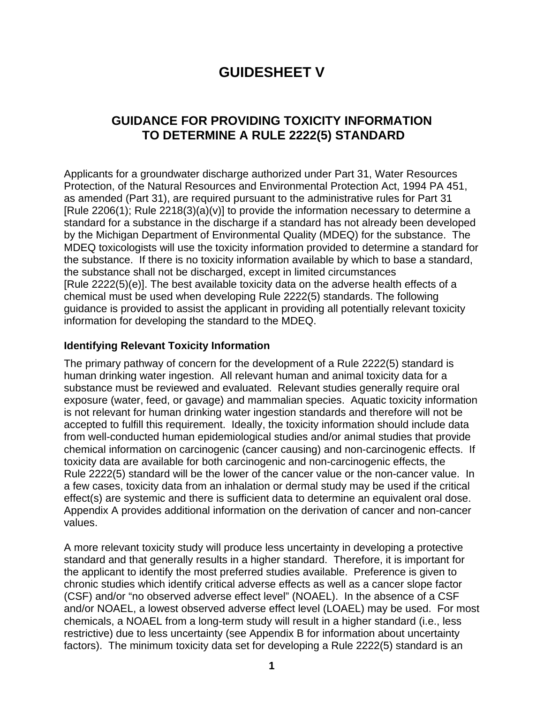# **GUIDESHEET V**

## **GUIDANCE FOR PROVIDING TOXICITY INFORMATION TO DETERMINE A RULE 2222(5) STANDARD**

Applicants for a groundwater discharge authorized under Part 31, Water Resources Protection, of the Natural Resources and Environmental Protection Act, 1994 PA 451, as amended (Part 31), are required pursuant to the administrative rules for Part 31  $[Rule 2206(1); Rule 2218(3)(a)(v)]$  to provide the information necessary to determine a standard for a substance in the discharge if a standard has not already been developed by the Michigan Department of Environmental Quality (MDEQ) for the substance. The MDEQ toxicologists will use the toxicity information provided to determine a standard for the substance. If there is no toxicity information available by which to base a standard, the substance shall not be discharged, except in limited circumstances [Rule 2222(5)(e)]. The best available toxicity data on the adverse health effects of a chemical must be used when developing Rule 2222(5) standards. The following guidance is provided to assist the applicant in providing all potentially relevant toxicity information for developing the standard to the MDEQ.

#### **Identifying Relevant Toxicity Information**

The primary pathway of concern for the development of a Rule 2222(5) standard is human drinking water ingestion. All relevant human and animal toxicity data for a substance must be reviewed and evaluated. Relevant studies generally require oral exposure (water, feed, or gavage) and mammalian species. Aquatic toxicity information is not relevant for human drinking water ingestion standards and therefore will not be accepted to fulfill this requirement. Ideally, the toxicity information should include data from well-conducted human epidemiological studies and/or animal studies that provide chemical information on carcinogenic (cancer causing) and non-carcinogenic effects. If toxicity data are available for both carcinogenic and non-carcinogenic effects, the Rule 2222(5) standard will be the lower of the cancer value or the non-cancer value. In a few cases, toxicity data from an inhalation or dermal study may be used if the critical effect(s) are systemic and there is sufficient data to determine an equivalent oral dose. Appendix A provides additional information on the derivation of cancer and non-cancer values.

A more relevant toxicity study will produce less uncertainty in developing a protective standard and that generally results in a higher standard. Therefore, it is important for the applicant to identify the most preferred studies available. Preference is given to chronic studies which identify critical adverse effects as well as a cancer slope factor (CSF) and/or "no observed adverse effect level" (NOAEL). In the absence of a CSF and/or NOAEL, a lowest observed adverse effect level (LOAEL) may be used. For most chemicals, a NOAEL from a long-term study will result in a higher standard (i.e., less restrictive) due to less uncertainty (see Appendix B for information about uncertainty factors). The minimum toxicity data set for developing a Rule 2222(5) standard is an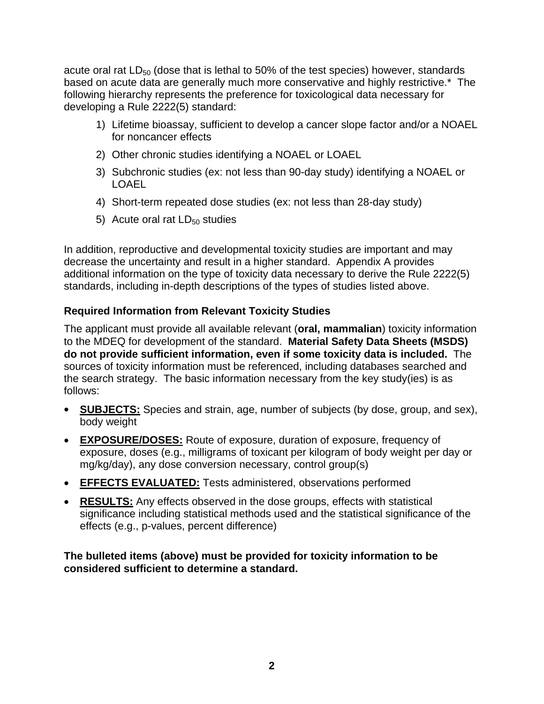acute oral rat  $LD_{50}$  (dose that is lethal to 50% of the test species) however, standards based on acute data are generally much more conservative and highly restrictive.\*The following hierarchy represents the preference for toxicological data necessary for developing a Rule 2222(5) standard:

- 1) Lifetime bioassay, sufficient to develop a cancer slope factor and/or a NOAEL for noncancer effects
- 2) Other chronic studies identifying a NOAEL or LOAEL
- 3) Subchronic studies (ex: not less than 90-day study) identifying a NOAEL or LOAEL
- 4) Short-term repeated dose studies (ex: not less than 28-day study)
- 5) Acute oral rat  $LD_{50}$  studies

In addition, reproductive and developmental toxicity studies are important and may decrease the uncertainty and result in a higher standard. Appendix A provides additional information on the type of toxicity data necessary to derive the Rule 2222(5) standards, including in-depth descriptions of the types of studies listed above.

### **Required Information from Relevant Toxicity Studies**

The applicant must provide all available relevant (**oral, mammalian**) toxicity information to the MDEQ for development of the standard. **Material Safety Data Sheets (MSDS) do not provide sufficient information, even if some toxicity data is included.** The sources of toxicity information must be referenced, including databases searched and the search strategy. The basic information necessary from the key study(ies) is as follows:

- **SUBJECTS:** Species and strain, age, number of subjects (by dose, group, and sex), body weight
- **EXPOSURE/DOSES:** Route of exposure, duration of exposure, frequency of exposure, doses (e.g., milligrams of toxicant per kilogram of body weight per day or mg/kg/day), any dose conversion necessary, control group(s)
- **EFFECTS EVALUATED:** Tests administered, observations performed
- **RESULTS:** Any effects observed in the dose groups, effects with statistical significance including statistical methods used and the statistical significance of the effects (e.g., p-values, percent difference)

#### **The bulleted items (above) must be provided for toxicity information to be considered sufficient to determine a standard.**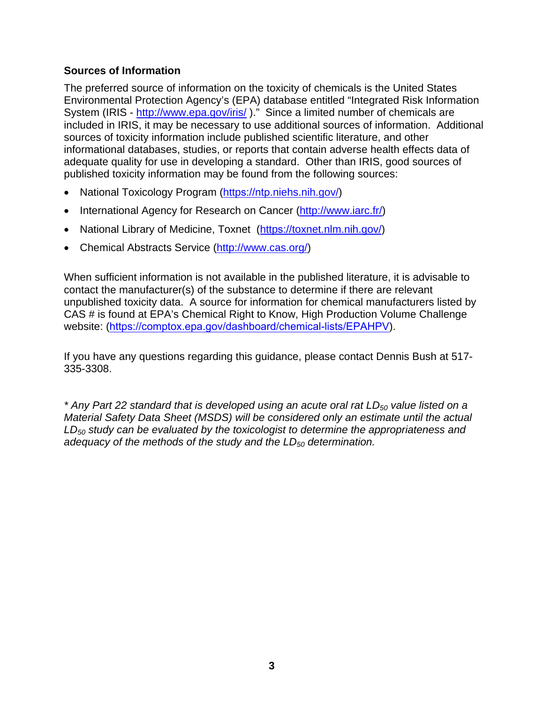#### **Sources of Information**

The preferred source of information on the toxicity of chemicals is the United States Environmental Protection Agency's (EPA) database entitled "Integrated Risk Information System (IRIS - <http://www.epa.gov/iris/>)." Since a limited number of chemicals are included in IRIS, it may be necessary to use additional sources of information. Additional sources of toxicity information include published scientific literature, and other informational databases, studies, or reports that contain adverse health effects data of adequate quality for use in developing a standard. Other than IRIS, good sources of published toxicity information may be found from the following sources:

- National Toxicology Program (https://ntp[.niehs.nih.gov/](https://ntp.niehs.nih.gov/))
- International Agency for Research on Cancer [\(http://www.iarc.fr/](http://www.iarc.fr/))
- National Library of Medicine, Toxnet (https[://toxnet.nlm.nih.gov](https://toxnet.nlm.nih.gov/)/)
- Chemical Abstracts Service [\(http://www.cas.org/](http://www.cas.org/))

When sufficient information is not available in the published literature, it is advisable to contact the manufacturer(s) of the substance to determine if there are relevant unpublished toxicity data. A source for information for chemical manufacturers listed by CAS # is found at EPA's Chemical Right to Know, High Production Volume Challenge website: (https://comptox.epa.gov/dashboard/chemical-lists/EPAHPV).

If you have any questions regarding this guidance, please contact Dennis Bush at 517- 335-3308.

*\* Any Part 22 standard that is developed using an acute oral rat LD<sup>50</sup> value listed on a Material Safety Data Sheet (MSDS) will be considered only an estimate until the actual LD<sup>50</sup> study can be evaluated by the toxicologist to determine the appropriateness and adequacy of the methods of the study and the LD50 determination.*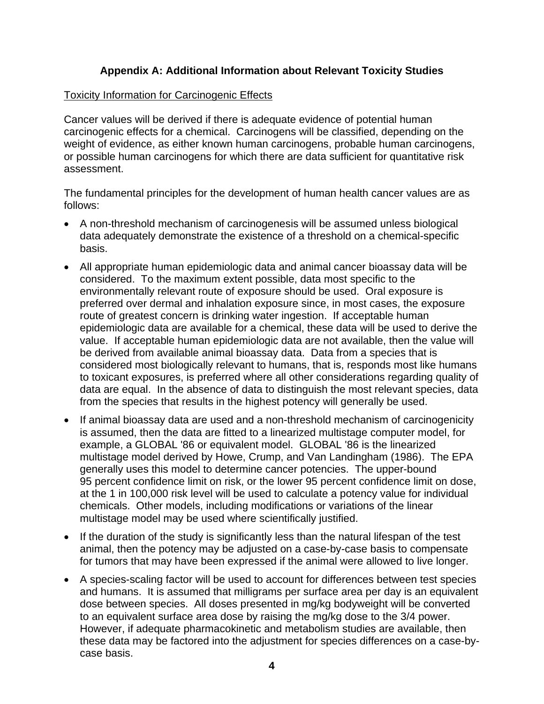#### **Appendix A: Additional Information about Relevant Toxicity Studies**

#### Toxicity Information for Carcinogenic Effects

Cancer values will be derived if there is adequate evidence of potential human carcinogenic effects for a chemical. Carcinogens will be classified, depending on the weight of evidence, as either known human carcinogens, probable human carcinogens, or possible human carcinogens for which there are data sufficient for quantitative risk assessment.

The fundamental principles for the development of human health cancer values are as follows:

- A non-threshold mechanism of carcinogenesis will be assumed unless biological data adequately demonstrate the existence of a threshold on a chemical-specific basis.
- All appropriate human epidemiologic data and animal cancer bioassay data will be considered. To the maximum extent possible, data most specific to the environmentally relevant route of exposure should be used. Oral exposure is preferred over dermal and inhalation exposure since, in most cases, the exposure route of greatest concern is drinking water ingestion. If acceptable human epidemiologic data are available for a chemical, these data will be used to derive the value. If acceptable human epidemiologic data are not available, then the value will be derived from available animal bioassay data. Data from a species that is considered most biologically relevant to humans, that is, responds most like humans to toxicant exposures, is preferred where all other considerations regarding quality of data are equal. In the absence of data to distinguish the most relevant species, data from the species that results in the highest potency will generally be used.
- If animal bioassay data are used and a non-threshold mechanism of carcinogenicity is assumed, then the data are fitted to a linearized multistage computer model, for example, a GLOBAL '86 or equivalent model. GLOBAL '86 is the linearized multistage model derived by Howe, Crump, and Van Landingham (1986). The EPA generally uses this model to determine cancer potencies. The upper-bound 95 percent confidence limit on risk, or the lower 95 percent confidence limit on dose, at the 1 in 100,000 risk level will be used to calculate a potency value for individual chemicals. Other models, including modifications or variations of the linear multistage model may be used where scientifically justified.
- If the duration of the study is significantly less than the natural lifespan of the test animal, then the potency may be adjusted on a case-by-case basis to compensate for tumors that may have been expressed if the animal were allowed to live longer.
- A species-scaling factor will be used to account for differences between test species and humans. It is assumed that milligrams per surface area per day is an equivalent dose between species. All doses presented in mg/kg bodyweight will be converted to an equivalent surface area dose by raising the mg/kg dose to the 3/4 power. However, if adequate pharmacokinetic and metabolism studies are available, then these data may be factored into the adjustment for species differences on a case-bycase basis.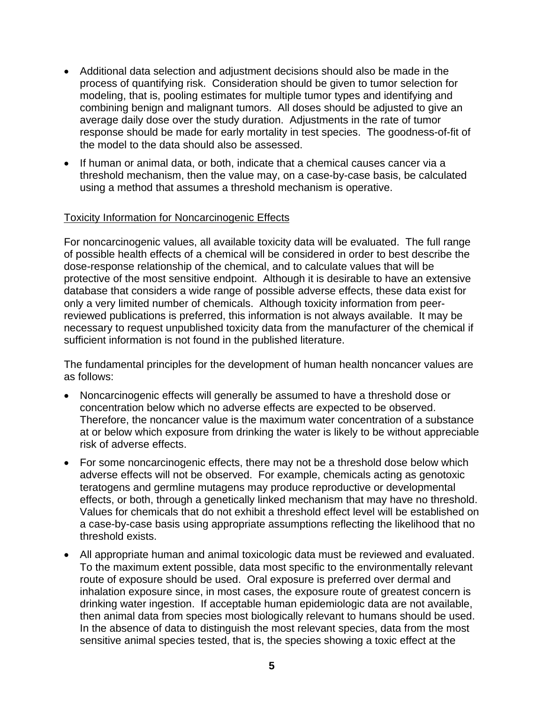- Additional data selection and adjustment decisions should also be made in the process of quantifying risk. Consideration should be given to tumor selection for modeling, that is, pooling estimates for multiple tumor types and identifying and combining benign and malignant tumors. All doses should be adjusted to give an average daily dose over the study duration. Adjustments in the rate of tumor response should be made for early mortality in test species. The goodness-of-fit of the model to the data should also be assessed.
- If human or animal data, or both, indicate that a chemical causes cancer via a threshold mechanism, then the value may, on a case-by-case basis, be calculated using a method that assumes a threshold mechanism is operative.

#### Toxicity Information for Noncarcinogenic Effects

For noncarcinogenic values, all available toxicity data will be evaluated. The full range of possible health effects of a chemical will be considered in order to best describe the dose-response relationship of the chemical, and to calculate values that will be protective of the most sensitive endpoint. Although it is desirable to have an extensive database that considers a wide range of possible adverse effects, these data exist for only a very limited number of chemicals. Although toxicity information from peerreviewed publications is preferred, this information is not always available. It may be necessary to request unpublished toxicity data from the manufacturer of the chemical if sufficient information is not found in the published literature.

The fundamental principles for the development of human health noncancer values are as follows:

- Noncarcinogenic effects will generally be assumed to have a threshold dose or concentration below which no adverse effects are expected to be observed. Therefore, the noncancer value is the maximum water concentration of a substance at or below which exposure from drinking the water is likely to be without appreciable risk of adverse effects.
- For some noncarcinogenic effects, there may not be a threshold dose below which adverse effects will not be observed. For example, chemicals acting as genotoxic teratogens and germline mutagens may produce reproductive or developmental effects, or both, through a genetically linked mechanism that may have no threshold. Values for chemicals that do not exhibit a threshold effect level will be established on a case-by-case basis using appropriate assumptions reflecting the likelihood that no threshold exists.
- All appropriate human and animal toxicologic data must be reviewed and evaluated. To the maximum extent possible, data most specific to the environmentally relevant route of exposure should be used. Oral exposure is preferred over dermal and inhalation exposure since, in most cases, the exposure route of greatest concern is drinking water ingestion. If acceptable human epidemiologic data are not available, then animal data from species most biologically relevant to humans should be used. In the absence of data to distinguish the most relevant species, data from the most sensitive animal species tested, that is, the species showing a toxic effect at the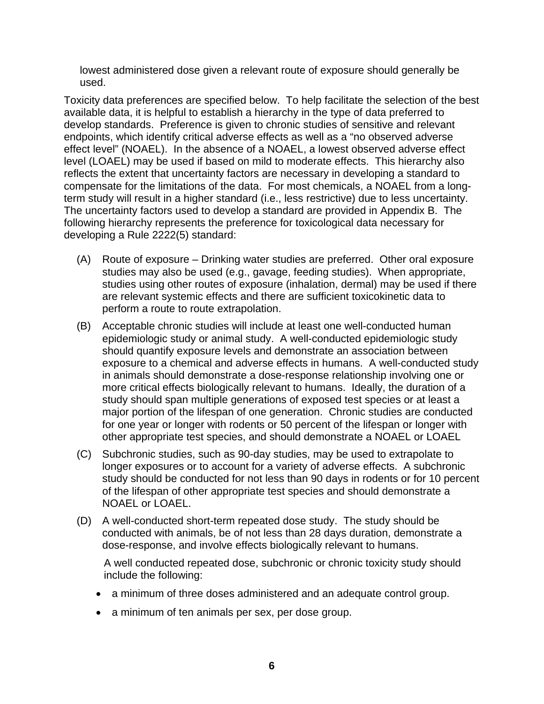lowest administered dose given a relevant route of exposure should generally be used.

Toxicity data preferences are specified below. To help facilitate the selection of the best available data, it is helpful to establish a hierarchy in the type of data preferred to develop standards. Preference is given to chronic studies of sensitive and relevant endpoints, which identify critical adverse effects as well as a "no observed adverse effect level" (NOAEL). In the absence of a NOAEL, a lowest observed adverse effect level (LOAEL) may be used if based on mild to moderate effects. This hierarchy also reflects the extent that uncertainty factors are necessary in developing a standard to compensate for the limitations of the data. For most chemicals, a NOAEL from a longterm study will result in a higher standard (i.e., less restrictive) due to less uncertainty. The uncertainty factors used to develop a standard are provided in Appendix B. The following hierarchy represents the preference for toxicological data necessary for developing a Rule 2222(5) standard:

- (A) Route of exposure Drinking water studies are preferred. Other oral exposure studies may also be used (e.g., gavage, feeding studies). When appropriate, studies using other routes of exposure (inhalation, dermal) may be used if there are relevant systemic effects and there are sufficient toxicokinetic data to perform a route to route extrapolation.
- (B) Acceptable chronic studies will include at least one well-conducted human epidemiologic study or animal study. A well-conducted epidemiologic study should quantify exposure levels and demonstrate an association between exposure to a chemical and adverse effects in humans. A well-conducted study in animals should demonstrate a dose-response relationship involving one or more critical effects biologically relevant to humans. Ideally, the duration of a study should span multiple generations of exposed test species or at least a major portion of the lifespan of one generation. Chronic studies are conducted for one year or longer with rodents or 50 percent of the lifespan or longer with other appropriate test species, and should demonstrate a NOAEL or LOAEL
- (C) Subchronic studies, such as 90-day studies, may be used to extrapolate to longer exposures or to account for a variety of adverse effects. A subchronic study should be conducted for not less than 90 days in rodents or for 10 percent of the lifespan of other appropriate test species and should demonstrate a NOAEL or LOAEL.
- (D) A well-conducted short-term repeated dose study. The study should be conducted with animals, be of not less than 28 days duration, demonstrate a dose-response, and involve effects biologically relevant to humans.

A well conducted repeated dose, subchronic or chronic toxicity study should include the following:

- a minimum of three doses administered and an adequate control group.
- a minimum of ten animals per sex, per dose group.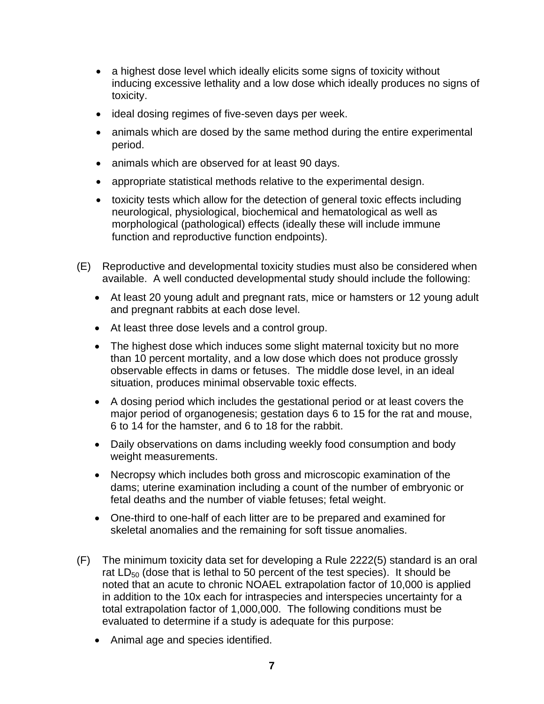- a highest dose level which ideally elicits some signs of toxicity without inducing excessive lethality and a low dose which ideally produces no signs of toxicity.
- ideal dosing regimes of five-seven days per week.
- animals which are dosed by the same method during the entire experimental period.
- animals which are observed for at least 90 days.
- appropriate statistical methods relative to the experimental design.
- toxicity tests which allow for the detection of general toxic effects including neurological, physiological, biochemical and hematological as well as morphological (pathological) effects (ideally these will include immune function and reproductive function endpoints).
- (E) Reproductive and developmental toxicity studies must also be considered when available. A well conducted developmental study should include the following:
	- At least 20 young adult and pregnant rats, mice or hamsters or 12 young adult and pregnant rabbits at each dose level.
	- At least three dose levels and a control group.
	- The highest dose which induces some slight maternal toxicity but no more than 10 percent mortality, and a low dose which does not produce grossly observable effects in dams or fetuses. The middle dose level, in an ideal situation, produces minimal observable toxic effects.
	- A dosing period which includes the gestational period or at least covers the major period of organogenesis; gestation days 6 to 15 for the rat and mouse, 6 to 14 for the hamster, and 6 to 18 for the rabbit.
	- Daily observations on dams including weekly food consumption and body weight measurements.
	- Necropsy which includes both gross and microscopic examination of the dams; uterine examination including a count of the number of embryonic or fetal deaths and the number of viable fetuses; fetal weight.
	- One-third to one-half of each litter are to be prepared and examined for skeletal anomalies and the remaining for soft tissue anomalies.
- (F) The minimum toxicity data set for developing a Rule 2222(5) standard is an oral rat  $LD_{50}$  (dose that is lethal to 50 percent of the test species). It should be noted that an acute to chronic NOAEL extrapolation factor of 10,000 is applied in addition to the 10x each for intraspecies and interspecies uncertainty for a total extrapolation factor of 1,000,000. The following conditions must be evaluated to determine if a study is adequate for this purpose:
	- Animal age and species identified.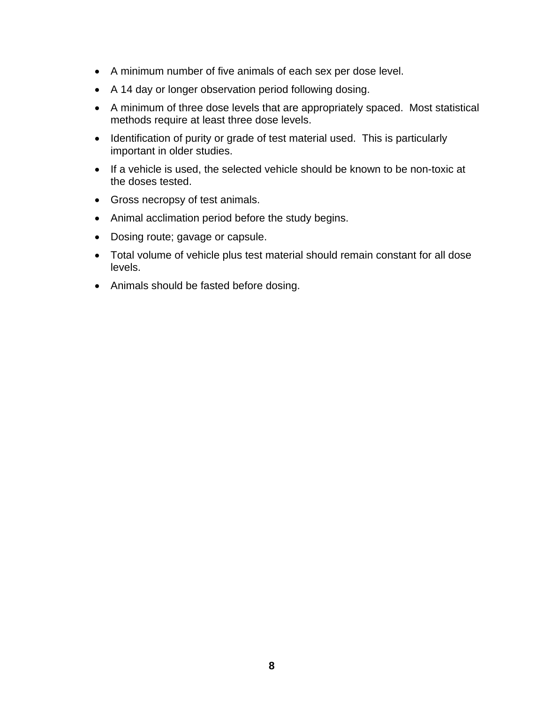- A minimum number of five animals of each sex per dose level.
- A 14 day or longer observation period following dosing.
- A minimum of three dose levels that are appropriately spaced. Most statistical methods require at least three dose levels.
- Identification of purity or grade of test material used. This is particularly important in older studies.
- If a vehicle is used, the selected vehicle should be known to be non-toxic at the doses tested.
- Gross necropsy of test animals.
- Animal acclimation period before the study begins.
- Dosing route; gavage or capsule.
- Total volume of vehicle plus test material should remain constant for all dose levels.
- Animals should be fasted before dosing.